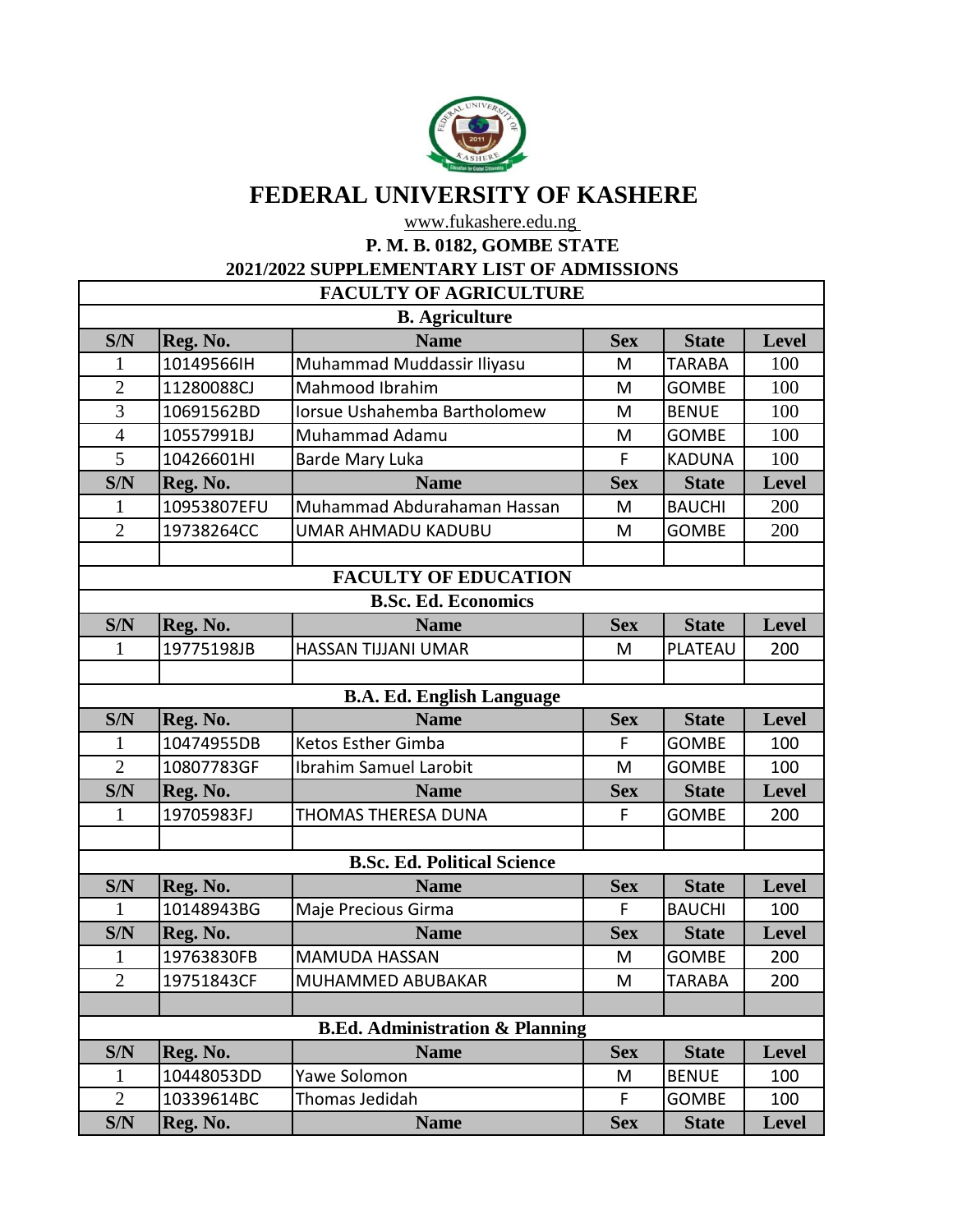

## **FEDERAL UNIVERSITY OF KASHERE**

www.fukashere.edu.ng

**P. M. B. 0182, GOMBE STATE**

**2021/2022 SUPPLEMENTARY LIST OF ADMISSIONS**

| <b>FACULTY OF AGRICULTURE</b> |                                  |                                            |            |               |              |  |  |  |  |
|-------------------------------|----------------------------------|--------------------------------------------|------------|---------------|--------------|--|--|--|--|
|                               | <b>B.</b> Agriculture            |                                            |            |               |              |  |  |  |  |
| S/N                           | Reg. No.                         | <b>Name</b>                                | <b>Sex</b> | <b>State</b>  | <b>Level</b> |  |  |  |  |
| 1                             | 10149566IH                       | Muhammad Muddassir Iliyasu                 | M          | <b>TARABA</b> | 100          |  |  |  |  |
| $\overline{2}$                | 11280088CJ                       | Mahmood Ibrahim                            | M          | <b>GOMBE</b>  | 100          |  |  |  |  |
| 3                             | 10691562BD                       | Iorsue Ushahemba Bartholomew               | M          | <b>BENUE</b>  | 100          |  |  |  |  |
| $\overline{4}$                | 10557991BJ                       | Muhammad Adamu                             | M          | <b>GOMBE</b>  | 100          |  |  |  |  |
| 5                             | 10426601HI                       | Barde Mary Luka                            | F          | <b>KADUNA</b> | 100          |  |  |  |  |
| S/N                           | Reg. No.                         | <b>Name</b>                                | <b>Sex</b> | <b>State</b>  | Level        |  |  |  |  |
| 1                             | 10953807EFU                      | Muhammad Abdurahaman Hassan                | M          | <b>BAUCHI</b> | 200          |  |  |  |  |
| $\overline{2}$                | 19738264CC                       | UMAR AHMADU KADUBU                         | M          | <b>GOMBE</b>  | 200          |  |  |  |  |
|                               |                                  |                                            |            |               |              |  |  |  |  |
|                               |                                  | <b>FACULTY OF EDUCATION</b>                |            |               |              |  |  |  |  |
|                               |                                  | <b>B.Sc. Ed. Economics</b>                 |            |               |              |  |  |  |  |
| S/N                           | Reg. No.                         | <b>Name</b>                                | <b>Sex</b> | <b>State</b>  | Level        |  |  |  |  |
| 1                             | 19775198JB                       | HASSAN TIJJANI UMAR                        | M          | PLATEAU       | 200          |  |  |  |  |
|                               |                                  |                                            |            |               |              |  |  |  |  |
|                               | <b>B.A. Ed. English Language</b> |                                            |            |               |              |  |  |  |  |
| S/N                           | Reg. No.                         | <b>Name</b>                                | <b>Sex</b> | <b>State</b>  | <b>Level</b> |  |  |  |  |
| 1                             | 10474955DB                       | Ketos Esther Gimba                         | F          | <b>GOMBE</b>  | 100          |  |  |  |  |
| $\overline{2}$                | 10807783GF                       | Ibrahim Samuel Larobit                     | M          | <b>GOMBE</b>  | 100          |  |  |  |  |
| S/N                           | Reg. No.                         | <b>Name</b>                                | <b>Sex</b> | <b>State</b>  | <b>Level</b> |  |  |  |  |
| 1                             | 19705983FJ                       | THOMAS THERESA DUNA                        | F          | <b>GOMBE</b>  | 200          |  |  |  |  |
|                               |                                  |                                            |            |               |              |  |  |  |  |
|                               |                                  | <b>B.Sc. Ed. Political Science</b>         |            |               |              |  |  |  |  |
| S/N                           | Reg. No.                         | <b>Name</b>                                | <b>Sex</b> | <b>State</b>  | Level        |  |  |  |  |
| 1                             | 10148943BG                       | Maje Precious Girma                        | F          | <b>BAUCHI</b> | 100          |  |  |  |  |
| S/N                           | Reg. No.                         | <b>Name</b>                                | <b>Sex</b> | <b>State</b>  | <b>Level</b> |  |  |  |  |
| $\mathbf{1}$                  | 19763830FB                       | <b>MAMUDA HASSAN</b>                       | M          | <b>GOMBE</b>  | 200          |  |  |  |  |
| $\overline{2}$                | 19751843CF                       | MUHAMMED ABUBAKAR                          | M          | <b>TARABA</b> | 200          |  |  |  |  |
|                               |                                  |                                            |            |               |              |  |  |  |  |
|                               |                                  | <b>B.Ed. Administration &amp; Planning</b> |            |               |              |  |  |  |  |
| S/N                           | Reg. No.                         | <b>Name</b>                                | <b>Sex</b> | <b>State</b>  | <b>Level</b> |  |  |  |  |
| $\mathbf{1}$                  | 10448053DD                       | Yawe Solomon                               | M          | <b>BENUE</b>  | 100          |  |  |  |  |
| $\overline{2}$                | 10339614BC                       | Thomas Jedidah                             | F          | <b>GOMBE</b>  | 100          |  |  |  |  |
| S/N                           | Reg. No.                         | <b>Name</b>                                | <b>Sex</b> | <b>State</b>  | <b>Level</b> |  |  |  |  |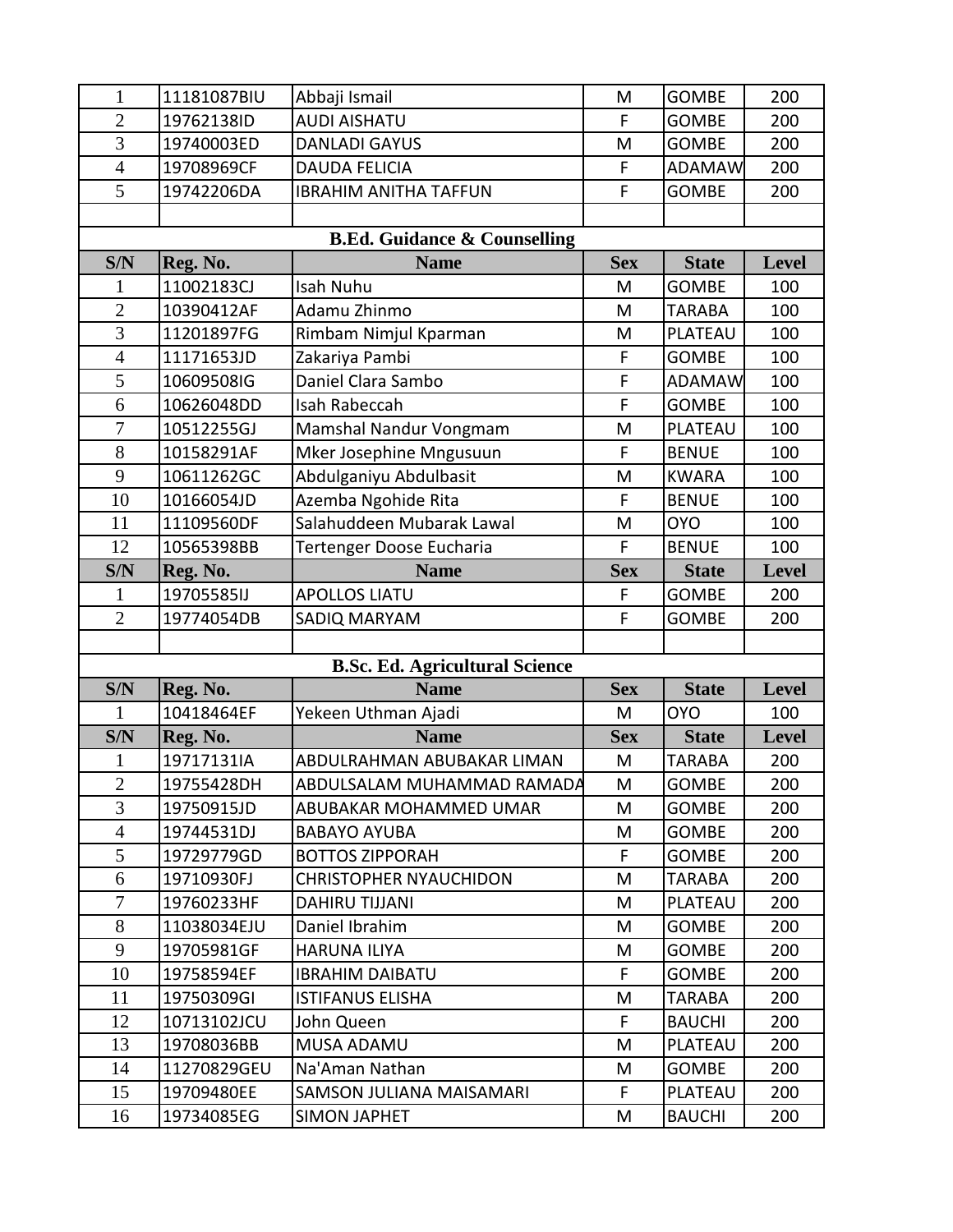| 1                                       | 11181087BIU | Abbaji Ismail                         | M           | <b>GOMBE</b>   | 200          |  |  |
|-----------------------------------------|-------------|---------------------------------------|-------------|----------------|--------------|--|--|
| $\overline{2}$                          | 19762138ID  | <b>AUDI AISHATU</b>                   | F           | <b>GOMBE</b>   | 200          |  |  |
| 3                                       | 19740003ED  | <b>DANLADI GAYUS</b>                  | M           | <b>GOMBE</b>   | 200          |  |  |
| $\overline{4}$                          | 19708969CF  | <b>DAUDA FELICIA</b>                  | F           | <b>ADAMAW</b>  | 200          |  |  |
| 5                                       | 19742206DA  | <b>IBRAHIM ANITHA TAFFUN</b>          | F           | <b>GOMBE</b>   | 200          |  |  |
|                                         |             |                                       |             |                |              |  |  |
| <b>B.Ed. Guidance &amp; Counselling</b> |             |                                       |             |                |              |  |  |
| S/N                                     | Reg. No.    | <b>Name</b>                           | <b>Sex</b>  | <b>State</b>   | <b>Level</b> |  |  |
| 1                                       | 11002183CJ  | <b>Isah Nuhu</b>                      | M           | <b>GOMBE</b>   | 100          |  |  |
| $\overline{2}$                          | 10390412AF  | Adamu Zhinmo                          | M           | <b>TARABA</b>  | 100          |  |  |
| $\overline{3}$                          | 11201897FG  | Rimbam Nimjul Kparman                 | M           | PLATEAU        | 100          |  |  |
| $\overline{4}$                          | 11171653JD  | Zakariya Pambi                        | F           | <b>GOMBE</b>   | 100          |  |  |
| 5                                       | 10609508IG  | Daniel Clara Sambo                    | F           | <b>ADAMAW</b>  | 100          |  |  |
| 6                                       | 10626048DD  | Isah Rabeccah                         | F           | <b>GOMBE</b>   | 100          |  |  |
| $\overline{7}$                          | 10512255GJ  | Mamshal Nandur Vongmam                | M           | PLATEAU        | 100          |  |  |
| 8                                       | 10158291AF  | Mker Josephine Mngusuun               | F           | <b>BENUE</b>   | 100          |  |  |
| 9                                       | 10611262GC  | Abdulganiyu Abdulbasit                | M           | <b>KWARA</b>   | 100          |  |  |
| 10                                      | 10166054JD  | Azemba Ngohide Rita                   | $\mathsf F$ | <b>BENUE</b>   | 100          |  |  |
| 11                                      | 11109560DF  | Salahuddeen Mubarak Lawal             | M           | <b>OYO</b>     | 100          |  |  |
| 12                                      | 10565398BB  | Tertenger Doose Eucharia              | F           | <b>BENUE</b>   | 100          |  |  |
| S/N                                     | Reg. No.    | <b>Name</b>                           | <b>Sex</b>  | <b>State</b>   | Level        |  |  |
| 1                                       | 19705585IJ  | <b>APOLLOS LIATU</b>                  | F           | <b>GOMBE</b>   | 200          |  |  |
| $\overline{2}$                          | 19774054DB  | SADIQ MARYAM                          | F           | <b>GOMBE</b>   | 200          |  |  |
|                                         |             |                                       |             |                |              |  |  |
|                                         |             | <b>B.Sc. Ed. Agricultural Science</b> |             |                |              |  |  |
| S/N                                     | Reg. No.    | <b>Name</b>                           | <b>Sex</b>  | <b>State</b>   | <b>Level</b> |  |  |
| 1                                       | 10418464EF  | Yekeen Uthman Ajadi                   | M           | <b>OYO</b>     |              |  |  |
| S/N                                     |             |                                       |             |                | 100          |  |  |
| 1                                       | Reg. No.    | <b>Name</b>                           | <b>Sex</b>  | <b>State</b>   | Level        |  |  |
|                                         | 19717131IA  | ABDULRAHMAN ABUBAKAR LIMAN            | M           | <b>TARABA</b>  | 200          |  |  |
| $\overline{2}$                          | 19755428DH  | ABDULSALAM MUHAMMAD RAMADA            | M           | <b>GOMBE</b>   | 200          |  |  |
| 3                                       | 19750915JD  | ABUBAKAR MOHAMMED UMAR                | M           | <b>GOMBE</b>   | 200          |  |  |
| $\overline{4}$                          | 19744531DJ  | <b>BABAYO AYUBA</b>                   | M           | GOMBE          | 200          |  |  |
| 5                                       | 19729779GD  | <b>BOTTOS ZIPPORAH</b>                | F.          | <b>GOMBE</b>   | 200          |  |  |
| 6                                       | 19710930FJ  | <b>CHRISTOPHER NYAUCHIDON</b>         | M           | TARABA         | 200          |  |  |
| $\overline{7}$                          | 19760233HF  | <b>DAHIRU TIJJANI</b>                 | M           | <b>PLATEAU</b> | 200          |  |  |
| 8                                       | 11038034EJU | Daniel Ibrahim                        | M           | <b>GOMBE</b>   | 200          |  |  |
| 9                                       | 19705981GF  | <b>HARUNA ILIYA</b>                   | M           | <b>GOMBE</b>   | 200          |  |  |
| 10                                      | 19758594EF  | <b>IBRAHIM DAIBATU</b>                | F           | <b>GOMBE</b>   | 200          |  |  |
| 11                                      | 19750309GI  | <b>ISTIFANUS ELISHA</b>               | M           | TARABA         | 200          |  |  |
| 12                                      | 10713102JCU | John Queen                            | F           | <b>BAUCHI</b>  | 200          |  |  |
| 13                                      | 19708036BB  | MUSA ADAMU                            | M           | <b>PLATEAU</b> | 200          |  |  |
| 14                                      | 11270829GEU | Na'Aman Nathan                        | M           | <b>GOMBE</b>   | 200          |  |  |
| 15                                      | 19709480EE  | SAMSON JULIANA MAISAMARI              | F.          | PLATEAU        | 200          |  |  |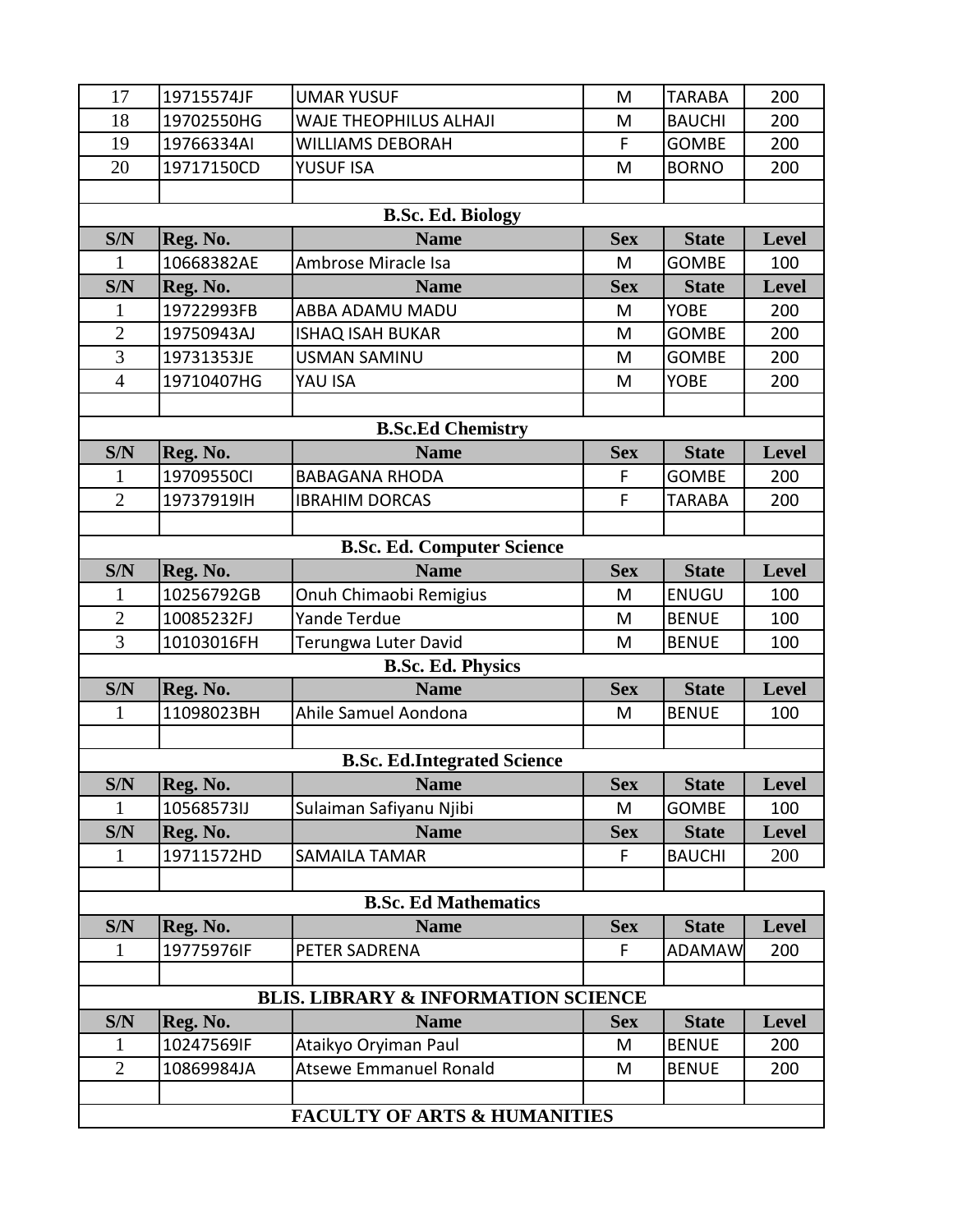| 17                                      | 19715574JF | <b>UMAR YUSUF</b>                              | M           | <b>TARABA</b> | 200          |  |
|-----------------------------------------|------------|------------------------------------------------|-------------|---------------|--------------|--|
| 18                                      | 19702550HG | WAJE THEOPHILUS ALHAJI                         | M           | <b>BAUCHI</b> | 200          |  |
| 19                                      | 19766334AI | <b>WILLIAMS DEBORAH</b>                        | F           | <b>GOMBE</b>  | 200          |  |
| 20                                      | 19717150CD | YUSUF ISA                                      | M           | <b>BORNO</b>  | 200          |  |
|                                         |            |                                                |             |               |              |  |
|                                         |            | <b>B.Sc. Ed. Biology</b>                       |             |               |              |  |
| S/N                                     | Reg. No.   | <b>Name</b>                                    | <b>Sex</b>  | <b>State</b>  | <b>Level</b> |  |
| 1                                       | 10668382AE | Ambrose Miracle Isa                            | M           | <b>GOMBE</b>  | 100          |  |
| S/N                                     | Reg. No.   | <b>Name</b>                                    | <b>Sex</b>  | <b>State</b>  | <b>Level</b> |  |
| 1                                       | 19722993FB | ABBA ADAMU MADU                                | M           | <b>YOBE</b>   | 200          |  |
| $\overline{2}$                          | 19750943AJ | <b>ISHAQ ISAH BUKAR</b>                        | M           | <b>GOMBE</b>  | 200          |  |
| $\overline{3}$                          | 19731353JE | <b>USMAN SAMINU</b>                            | M           | <b>GOMBE</b>  | 200          |  |
| $\overline{4}$                          | 19710407HG | YAU ISA                                        | M           | <b>YOBE</b>   | 200          |  |
|                                         |            |                                                |             |               |              |  |
|                                         |            | <b>B.Sc.Ed Chemistry</b>                       |             |               |              |  |
| S/N                                     | Reg. No.   | <b>Name</b>                                    | <b>Sex</b>  | <b>State</b>  | <b>Level</b> |  |
| 1                                       | 19709550Cl | <b>BABAGANA RHODA</b>                          | $\mathsf F$ | <b>GOMBE</b>  | 200          |  |
| $\overline{2}$                          | 19737919IH | <b>IBRAHIM DORCAS</b>                          | F           | <b>TARABA</b> | 200          |  |
|                                         |            |                                                |             |               |              |  |
|                                         |            | <b>B.Sc. Ed. Computer Science</b>              |             |               |              |  |
| S/N                                     | Reg. No.   | <b>Name</b>                                    | <b>Sex</b>  | <b>State</b>  | <b>Level</b> |  |
| 1                                       | 10256792GB | Onuh Chimaobi Remigius                         | M           | <b>ENUGU</b>  | 100          |  |
| $\mathbf{2}$                            | 10085232FJ | Yande Terdue                                   | M           | <b>BENUE</b>  | 100          |  |
| 3                                       | 10103016FH | Terungwa Luter David                           | M           | <b>BENUE</b>  | 100          |  |
|                                         |            | <b>B.Sc. Ed. Physics</b>                       |             |               |              |  |
| S/N                                     | Reg. No.   | <b>Name</b>                                    | <b>Sex</b>  | <b>State</b>  | Level        |  |
| $\mathbf{1}$                            | 11098023BH | Ahile Samuel Aondona                           | M           | <b>BENUE</b>  | 100          |  |
|                                         |            |                                                |             |               |              |  |
|                                         |            | <b>B.Sc. Ed.Integrated Science</b>             |             |               |              |  |
| S/N                                     | Reg. No.   | <b>Name</b>                                    | <b>Sex</b>  | <b>State</b>  | Level        |  |
| 1                                       | 10568573IJ | Sulaiman Safiyanu Njibi                        | M           | <b>GOMBE</b>  | 100          |  |
| S/N                                     | Reg. No.   | <b>Name</b>                                    | <b>Sex</b>  | <b>State</b>  | <b>Level</b> |  |
| $\mathbf{1}$                            | 19711572HD | <b>SAMAILA TAMAR</b>                           | F           | <b>BAUCHI</b> | 200          |  |
|                                         |            |                                                |             |               |              |  |
|                                         |            | <b>B.Sc. Ed Mathematics</b>                    |             |               |              |  |
| S/N                                     | Reg. No.   | <b>Name</b>                                    | <b>Sex</b>  | <b>State</b>  | <b>Level</b> |  |
| $\mathbf{1}$                            | 19775976IF | PETER SADRENA                                  | F           | <b>ADAMAW</b> | 200          |  |
|                                         |            |                                                |             |               |              |  |
|                                         |            | <b>BLIS. LIBRARY &amp; INFORMATION SCIENCE</b> |             |               |              |  |
| S/N                                     | Reg. No.   | <b>Name</b>                                    | <b>Sex</b>  | <b>State</b>  | <b>Level</b> |  |
| 1                                       | 10247569IF | Ataikyo Oryiman Paul                           | M           | <b>BENUE</b>  | 200          |  |
| $\overline{2}$                          | 10869984JA | <b>Atsewe Emmanuel Ronald</b>                  | M           | <b>BENUE</b>  | 200          |  |
|                                         |            |                                                |             |               |              |  |
| <b>FACULTY OF ARTS &amp; HUMANITIES</b> |            |                                                |             |               |              |  |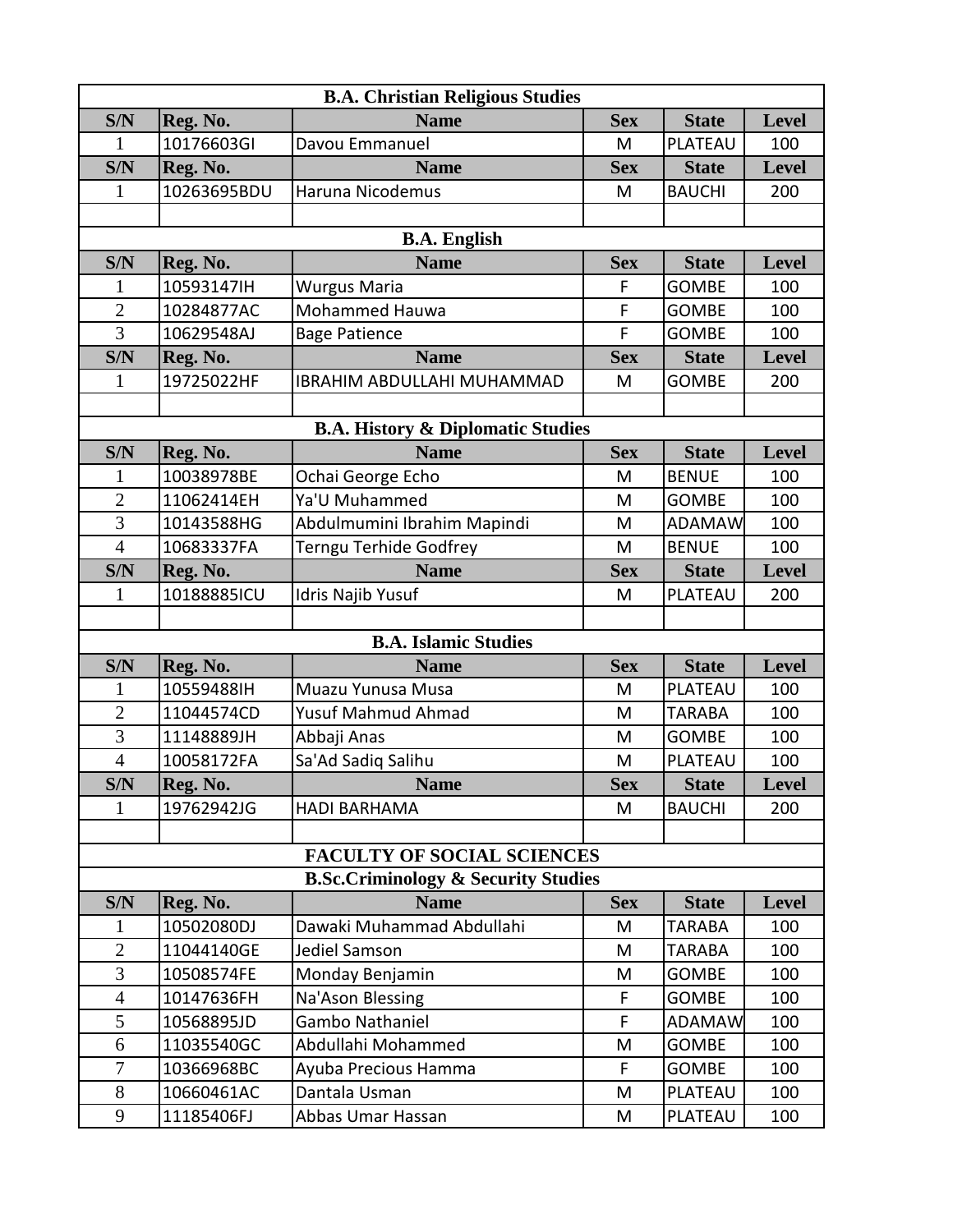| <b>B.A. Christian Religious Studies</b> |             |                                                |             |               |              |  |  |
|-----------------------------------------|-------------|------------------------------------------------|-------------|---------------|--------------|--|--|
| S/N                                     | Reg. No.    | <b>Name</b>                                    | <b>Sex</b>  | <b>State</b>  | Level        |  |  |
| 1                                       | 10176603GI  | Davou Emmanuel                                 | M           | PLATEAU       | 100          |  |  |
| S/N                                     | Reg. No.    | <b>Name</b>                                    | <b>Sex</b>  | <b>State</b>  | <b>Level</b> |  |  |
| 1                                       | 10263695BDU | Haruna Nicodemus                               | M           | <b>BAUCHI</b> | 200          |  |  |
|                                         |             |                                                |             |               |              |  |  |
|                                         |             | <b>B.A. English</b>                            |             |               |              |  |  |
| S/N                                     | Reg. No.    | <b>Name</b>                                    | <b>Sex</b>  | <b>State</b>  | <b>Level</b> |  |  |
| 1                                       | 10593147IH  | Wurgus Maria                                   | F           | <b>GOMBE</b>  | 100          |  |  |
| $\overline{c}$                          | 10284877AC  | <b>Mohammed Hauwa</b>                          | $\mathsf F$ | <b>GOMBE</b>  | 100          |  |  |
| 3                                       | 10629548AJ  | <b>Bage Patience</b>                           | F           | <b>GOMBE</b>  | 100          |  |  |
| S/N                                     | Reg. No.    | <b>Name</b>                                    | <b>Sex</b>  | <b>State</b>  | <b>Level</b> |  |  |
| 1                                       | 19725022HF  | <b>IBRAHIM ABDULLAHI MUHAMMAD</b>              | M           | <b>GOMBE</b>  | 200          |  |  |
|                                         |             |                                                |             |               |              |  |  |
|                                         |             | <b>B.A. History &amp; Diplomatic Studies</b>   |             |               |              |  |  |
| S/N                                     | Reg. No.    | <b>Name</b>                                    | <b>Sex</b>  | <b>State</b>  | Level        |  |  |
| 1                                       | 10038978BE  | Ochai George Echo                              | M           | <b>BENUE</b>  | 100          |  |  |
| $\overline{2}$                          | 11062414EH  | Ya'U Muhammed                                  | M           | <b>GOMBE</b>  | 100          |  |  |
| $\overline{3}$                          | 10143588HG  | Abdulmumini Ibrahim Mapindi                    | M           | <b>ADAMAW</b> | 100          |  |  |
| $\overline{4}$                          | 10683337FA  | Terngu Terhide Godfrey                         | M           | <b>BENUE</b>  | 100          |  |  |
| S/N                                     | Reg. No.    | <b>Name</b>                                    | <b>Sex</b>  | <b>State</b>  | <b>Level</b> |  |  |
| 1                                       | 10188885ICU | Idris Najib Yusuf                              | M           | PLATEAU       | 200          |  |  |
|                                         |             |                                                |             |               |              |  |  |
|                                         |             | <b>B.A. Islamic Studies</b>                    |             |               |              |  |  |
| S/N                                     | Reg. No.    | <b>Name</b>                                    | <b>Sex</b>  | <b>State</b>  | <b>Level</b> |  |  |
| 1                                       | 10559488IH  | Muazu Yunusa Musa                              | M           | PLATEAU       | 100          |  |  |
| $\overline{2}$                          | 11044574CD  | Yusuf Mahmud Ahmad                             | M           | TARABA        | 100          |  |  |
| 3                                       | 11148889JH  | Abbaji Anas                                    | M           | <b>GOMBE</b>  | 100          |  |  |
| $\overline{4}$                          | 10058172FA  | Sa'Ad Sadiq Salihu                             | M           | PLATEAU       | 100          |  |  |
| S/N                                     | Reg. No.    | <b>Name</b>                                    | <b>Sex</b>  | <b>State</b>  | Level        |  |  |
| 1                                       | 19762942JG  | <b>HADI BARHAMA</b>                            | M           | <b>BAUCHI</b> | 200          |  |  |
|                                         |             |                                                |             |               |              |  |  |
|                                         |             | <b>FACULTY OF SOCIAL SCIENCES</b>              |             |               |              |  |  |
|                                         |             | <b>B.Sc.Criminology &amp; Security Studies</b> |             |               |              |  |  |
| S/N                                     | Reg. No.    | <b>Name</b>                                    | <b>Sex</b>  | <b>State</b>  | <b>Level</b> |  |  |
| 1                                       | 10502080DJ  | Dawaki Muhammad Abdullahi                      | M           | TARABA        | 100          |  |  |
| $\overline{2}$                          | 11044140GE  | Jediel Samson                                  | M           | <b>TARABA</b> | 100          |  |  |
| $\overline{3}$                          | 10508574FE  | Monday Benjamin                                | M           | <b>GOMBE</b>  | 100          |  |  |
| $\overline{4}$                          | 10147636FH  | Na'Ason Blessing                               | F           | <b>GOMBE</b>  | 100          |  |  |
| 5                                       | 10568895JD  | Gambo Nathaniel                                | F           | <b>ADAMAW</b> | 100          |  |  |
| 6                                       | 11035540GC  | Abdullahi Mohammed                             | M           | <b>GOMBE</b>  | 100          |  |  |
| 7                                       | 10366968BC  | Ayuba Precious Hamma                           | F           | <b>GOMBE</b>  | 100          |  |  |
| 8                                       | 10660461AC  | Dantala Usman                                  | M           | PLATEAU       | 100          |  |  |
| 9                                       | 11185406FJ  | Abbas Umar Hassan                              | M           | PLATEAU       | 100          |  |  |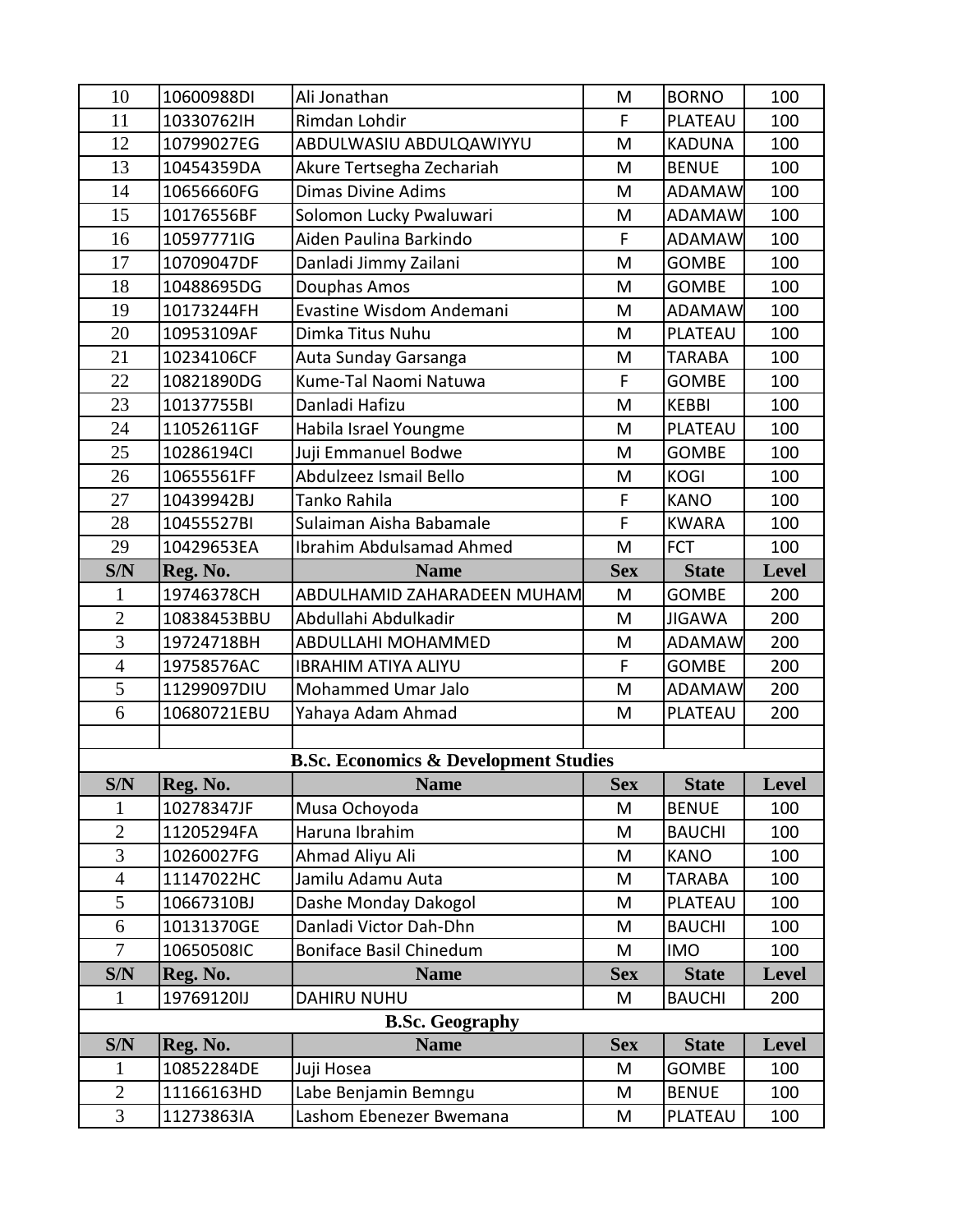| 10                           | 10600988DI  | Ali Jonathan                                     | M           | <b>BORNO</b>  | 100          |
|------------------------------|-------------|--------------------------------------------------|-------------|---------------|--------------|
| 11                           | 10330762IH  | Rimdan Lohdir                                    | F           | PLATEAU       | 100          |
| 12                           | 10799027EG  | ABDULWASIU ABDULQAWIYYU                          | M           | <b>KADUNA</b> | 100          |
| 13                           | 10454359DA  | Akure Tertsegha Zechariah                        | M           | <b>BENUE</b>  | 100          |
| 14                           | 10656660FG  | <b>Dimas Divine Adims</b>                        | M           | <b>ADAMAW</b> | 100          |
| 15                           | 10176556BF  | Solomon Lucky Pwaluwari                          | M           | <b>ADAMAW</b> | 100          |
| 16                           | 10597771IG  | Aiden Paulina Barkindo                           | F           | <b>ADAMAW</b> | 100          |
| 17                           | 10709047DF  | Danladi Jimmy Zailani                            | M           | <b>GOMBE</b>  | 100          |
| 18                           | 10488695DG  | Douphas Amos                                     | M           | <b>GOMBE</b>  | 100          |
| 19                           | 10173244FH  | Evastine Wisdom Andemani                         | M           | <b>ADAMAW</b> | 100          |
| 20                           | 10953109AF  | Dimka Titus Nuhu                                 | M           | PLATEAU       | 100          |
| 21                           | 10234106CF  | Auta Sunday Garsanga                             | M           | <b>TARABA</b> | 100          |
| 22                           | 10821890DG  | Kume-Tal Naomi Natuwa                            | F           | <b>GOMBE</b>  | 100          |
| 23                           | 10137755BI  | Danladi Hafizu                                   | M           | <b>KEBBI</b>  | 100          |
| 24                           | 11052611GF  | Habila Israel Youngme                            | M           | PLATEAU       | 100          |
| 25                           | 10286194Cl  | Juji Emmanuel Bodwe                              | M           | <b>GOMBE</b>  | 100          |
| 26                           | 10655561FF  | Abdulzeez Ismail Bello                           | M           | <b>KOGI</b>   | 100          |
| 27                           | 10439942BJ  | Tanko Rahila                                     | F           | <b>KANO</b>   | 100          |
| 28                           | 10455527BI  | Sulaiman Aisha Babamale                          | $\mathsf F$ | <b>KWARA</b>  | 100          |
| 29                           | 10429653EA  | Ibrahim Abdulsamad Ahmed                         | M           | <b>FCT</b>    | 100          |
| S/N                          | Reg. No.    | <b>Name</b>                                      | <b>Sex</b>  | <b>State</b>  | <b>Level</b> |
| $\mathbf{1}$                 | 19746378CH  | ABDULHAMID ZAHARADEEN MUHAM                      | M           | <b>GOMBE</b>  | 200          |
| $\overline{2}$               | 10838453BBU | Abdullahi Abdulkadir                             | M           | <b>JIGAWA</b> | 200          |
|                              |             |                                                  |             |               |              |
| $\overline{3}$               | 19724718BH  | ABDULLAHI MOHAMMED                               | M           | <b>ADAMAW</b> | 200          |
| $\overline{4}$               | 19758576AC  | <b>IBRAHIM ATIYA ALIYU</b>                       | F           | <b>GOMBE</b>  | 200          |
| 5                            | 11299097DIU | Mohammed Umar Jalo                               | M           | <b>ADAMAW</b> | 200          |
| 6                            | 10680721EBU | Yahaya Adam Ahmad                                | M           | PLATEAU       | 200          |
|                              |             |                                                  |             |               |              |
|                              |             | <b>B.Sc. Economics &amp; Development Studies</b> |             |               |              |
| $\overline{\text{S/N}}$      | Reg. No.    | <b>Name</b>                                      | <b>Sex</b>  | <b>State</b>  | $ $ Level    |
| 1                            | 10278347JF  | Musa Ochoyoda                                    | M           | <b>BENUE</b>  | 100          |
| $\overline{2}$               | 11205294FA  | Haruna Ibrahim                                   | M           | <b>BAUCHI</b> | 100          |
| 3                            | 10260027FG  | Ahmad Aliyu Ali                                  | M           | <b>KANO</b>   | 100          |
| $\overline{4}$               | 11147022HC  | Jamilu Adamu Auta                                | M           | <b>TARABA</b> | 100          |
| 5                            | 10667310BJ  | Dashe Monday Dakogol                             | M           | PLATEAU       | 100          |
| 6                            | 10131370GE  | Danladi Victor Dah-Dhn                           | M           | <b>BAUCHI</b> | 100          |
| $\overline{7}$               | 10650508IC  | <b>Boniface Basil Chinedum</b>                   | M           | <b>IMO</b>    | 100          |
| S/N                          | Reg. No.    | <b>Name</b>                                      | <b>Sex</b>  | <b>State</b>  | Level        |
| 1                            | 19769120IJ  | <b>DAHIRU NUHU</b>                               | M           | <b>BAUCHI</b> | 200          |
|                              |             | <b>B.Sc. Geography</b>                           |             |               |              |
| S/N                          | Reg. No.    | <b>Name</b>                                      | <b>Sex</b>  | <b>State</b>  | Level        |
| 1                            | 10852284DE  | Juji Hosea                                       | M           | <b>GOMBE</b>  | 100          |
| $\sqrt{2}$<br>$\overline{3}$ | 11166163HD  | Labe Benjamin Bemngu                             | M           | <b>BENUE</b>  | 100          |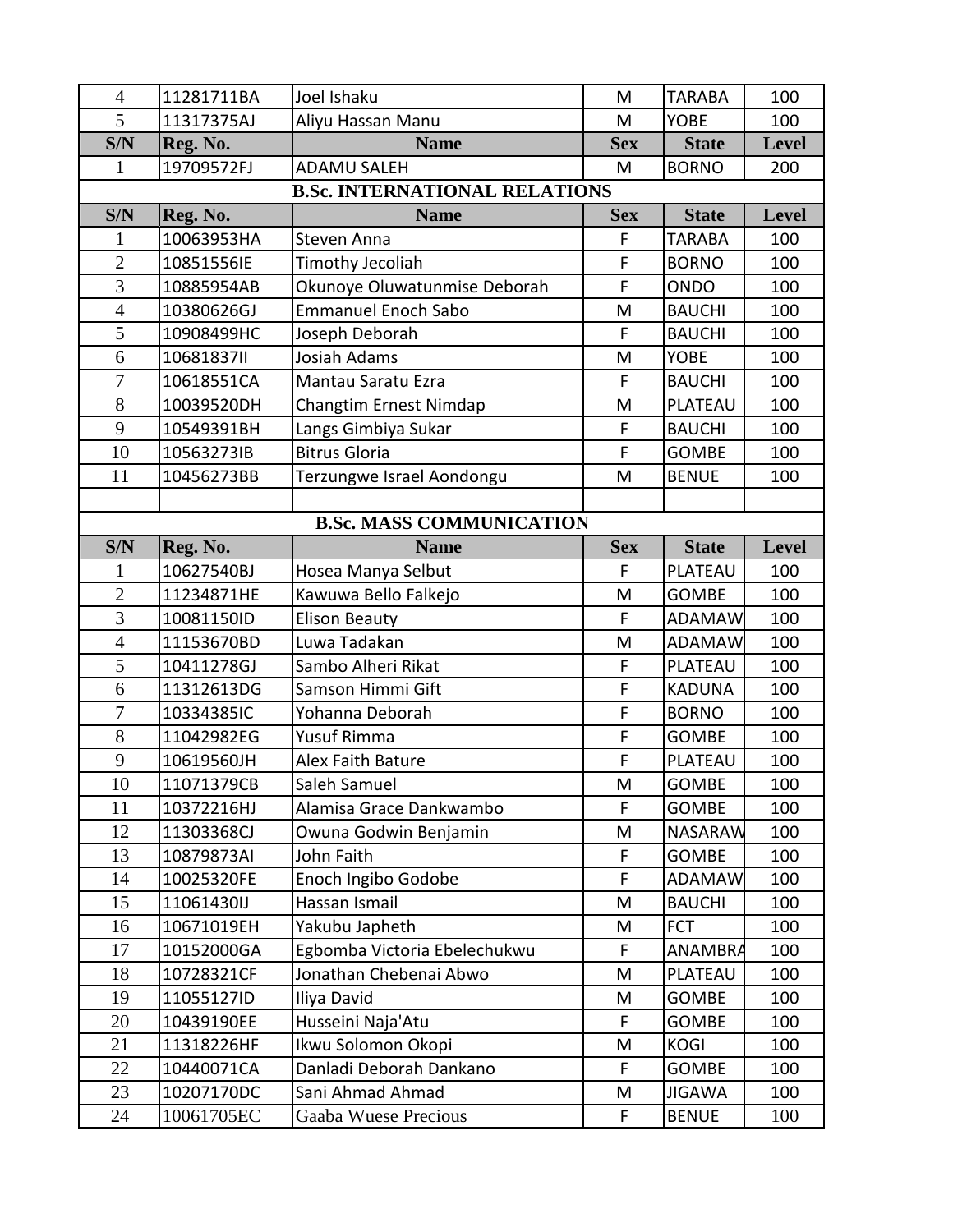| $\overline{4}$                       | 11281711BA               | Joel Ishaku                                            | M           | <b>TARABA</b>                  | 100          |  |  |
|--------------------------------------|--------------------------|--------------------------------------------------------|-------------|--------------------------------|--------------|--|--|
| 5                                    | 11317375AJ               | Aliyu Hassan Manu                                      | M           | <b>YOBE</b>                    | 100          |  |  |
| S/N                                  | Reg. No.                 | <b>Name</b>                                            | <b>Sex</b>  | <b>State</b>                   | <b>Level</b> |  |  |
| 1                                    | 19709572FJ               | <b>ADAMU SALEH</b>                                     | M           | <b>BORNO</b>                   | 200          |  |  |
| <b>B.Sc. INTERNATIONAL RELATIONS</b> |                          |                                                        |             |                                |              |  |  |
| S/N                                  | Reg. No.                 | <b>Name</b>                                            | <b>Sex</b>  | <b>State</b>                   | <b>Level</b> |  |  |
| 1                                    | 10063953HA               | Steven Anna                                            | F           | <b>TARABA</b>                  | 100          |  |  |
| $\overline{2}$                       | 10851556IE               | Timothy Jecoliah                                       | $\mathsf F$ | <b>BORNO</b>                   | 100          |  |  |
| 3                                    | 10885954AB               | Okunoye Oluwatunmise Deborah                           | F           | ONDO                           | 100          |  |  |
| $\overline{4}$                       | 10380626GJ               | <b>Emmanuel Enoch Sabo</b>                             | M           | <b>BAUCHI</b>                  | 100          |  |  |
| $\overline{5}$                       | 10908499HC               | Joseph Deborah                                         | F           | <b>BAUCHI</b>                  | 100          |  |  |
| 6                                    | 10681837II               | Josiah Adams                                           | M           | <b>YOBE</b>                    | 100          |  |  |
| $\overline{7}$                       | 10618551CA               | Mantau Saratu Ezra                                     | F           | <b>BAUCHI</b>                  | 100          |  |  |
| 8                                    | 10039520DH               | Changtim Ernest Nimdap                                 | M           | PLATEAU                        | 100          |  |  |
| 9                                    | 10549391BH               | Langs Gimbiya Sukar                                    | F           | <b>BAUCHI</b>                  | 100          |  |  |
| 10                                   | 10563273IB               | <b>Bitrus Gloria</b>                                   | F           | <b>GOMBE</b>                   | 100          |  |  |
| 11                                   | 10456273BB               | Terzungwe Israel Aondongu                              | M           | <b>BENUE</b>                   | 100          |  |  |
|                                      |                          |                                                        |             |                                |              |  |  |
|                                      |                          | <b>B.Sc. MASS COMMUNICATION</b>                        |             |                                |              |  |  |
| S/N                                  | Reg. No.                 | <b>Name</b>                                            | <b>Sex</b>  | <b>State</b>                   | <b>Level</b> |  |  |
| 1                                    | 10627540BJ               | Hosea Manya Selbut                                     | F           | PLATEAU                        | 100          |  |  |
| $\overline{2}$                       | 11234871HE               | Kawuwa Bello Falkejo                                   | M           | <b>GOMBE</b>                   | 100          |  |  |
| $\overline{3}$                       | 10081150ID               | <b>Elison Beauty</b>                                   | F           | <b>ADAMAW</b>                  | 100          |  |  |
| $\overline{4}$                       | 11153670BD               | Luwa Tadakan                                           | M           | <b>ADAMAW</b>                  | 100          |  |  |
| 5                                    | 10411278GJ               | Sambo Alheri Rikat                                     | F           | PLATEAU                        | 100          |  |  |
| 6                                    | 11312613DG               | Samson Himmi Gift                                      | F           | <b>KADUNA</b>                  | 100          |  |  |
| $\overline{7}$                       | 10334385IC               | Yohanna Deborah                                        | F           | <b>BORNO</b>                   | 100          |  |  |
| 8                                    | 11042982EG               | Yusuf Rimma                                            | $\mathsf F$ | <b>GOMBE</b>                   | 100          |  |  |
| 9                                    | 10619560JH               | Alex Faith Bature                                      | $\mathsf F$ | PLATEAU                        | 100          |  |  |
| 10                                   | 11071379CB               | Saleh Samuel                                           | M           | GOMBE                          | 100          |  |  |
| 11                                   | 10372216HJ               | Alamisa Grace Dankwambo                                | F           | <b>GOMBE</b>                   | 100          |  |  |
| 12                                   | 11303368CJ               | Owuna Godwin Benjamin                                  | M<br>F      | <b>NASARAW</b>                 | 100          |  |  |
| 13                                   | 10879873AI               | John Faith                                             | F           | <b>GOMBE</b>                   | 100          |  |  |
| 14<br>15                             | 10025320FE<br>11061430IJ | Enoch Ingibo Godobe<br>Hassan Ismail                   | M           | <b>ADAMAW</b><br><b>BAUCHI</b> | 100<br>100   |  |  |
| 16                                   | 10671019EH               | Yakubu Japheth                                         | M           | <b>FCT</b>                     | 100          |  |  |
| 17                                   | 10152000GA               |                                                        | F           | ANAMBRA                        | 100          |  |  |
|                                      |                          | Egbomba Victoria Ebelechukwu<br>Jonathan Chebenai Abwo |             |                                |              |  |  |
| 18<br>19                             | 10728321CF<br>11055127ID | Iliya David                                            | M<br>M      | PLATEAU<br><b>GOMBE</b>        | 100<br>100   |  |  |
| 20                                   | 10439190EE               | Husseini Naja'Atu                                      | F           | <b>GOMBE</b>                   | 100          |  |  |
| 21                                   | 11318226HF               | Ikwu Solomon Okopi                                     | M           | <b>KOGI</b>                    | 100          |  |  |
| 22                                   | 10440071CA               | Danladi Deborah Dankano                                | F           | <b>GOMBE</b>                   | 100          |  |  |
| 23                                   | 10207170DC               | Sani Ahmad Ahmad                                       | M           | <b>JIGAWA</b>                  | 100          |  |  |
| 24                                   | 10061705EC               | Gaaba Wuese Precious                                   | $\mathsf F$ | <b>BENUE</b>                   | 100          |  |  |
|                                      |                          |                                                        |             |                                |              |  |  |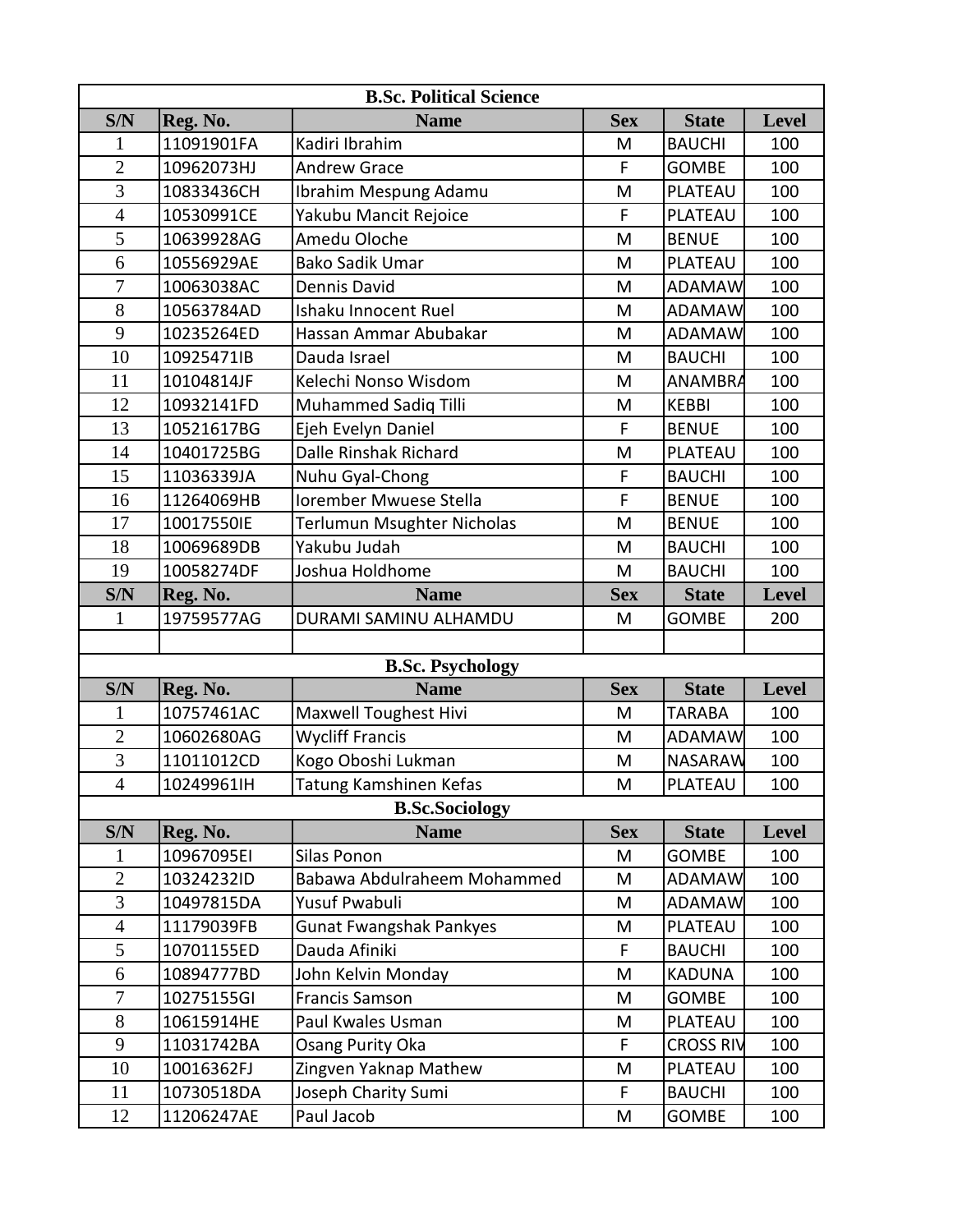| <b>B.Sc. Political Science</b> |            |                                |            |                  |              |  |  |
|--------------------------------|------------|--------------------------------|------------|------------------|--------------|--|--|
| S/N                            | Reg. No.   | <b>Name</b>                    | <b>Sex</b> | <b>State</b>     | <b>Level</b> |  |  |
| 1                              | 11091901FA | Kadiri Ibrahim                 | M          | <b>BAUCHI</b>    | 100          |  |  |
| $\overline{2}$                 | 10962073HJ | <b>Andrew Grace</b>            | F          | <b>GOMBE</b>     | 100          |  |  |
| 3                              | 10833436CH | Ibrahim Mespung Adamu          | M          | PLATEAU          | 100          |  |  |
| $\overline{4}$                 | 10530991CE | Yakubu Mancit Rejoice          | F          | PLATEAU          | 100          |  |  |
| 5                              | 10639928AG | Amedu Oloche                   | M          | <b>BENUE</b>     | 100          |  |  |
| 6                              | 10556929AE | <b>Bako Sadik Umar</b>         | M          | PLATEAU          | 100          |  |  |
| $\overline{7}$                 | 10063038AC | Dennis David                   | M          | <b>ADAMAW</b>    | 100          |  |  |
| 8                              | 10563784AD | Ishaku Innocent Ruel           | M          | <b>ADAMAW</b>    | 100          |  |  |
| 9                              | 10235264ED | Hassan Ammar Abubakar          | M          | <b>ADAMAW</b>    | 100          |  |  |
| 10                             | 10925471IB | Dauda Israel                   | M          | <b>BAUCHI</b>    | 100          |  |  |
| 11                             | 10104814JF | Kelechi Nonso Wisdom           | M          | <b>ANAMBRA</b>   | 100          |  |  |
| 12                             | 10932141FD | Muhammed Sadiq Tilli           | M          | <b>KEBBI</b>     | 100          |  |  |
| 13                             | 10521617BG | Ejeh Evelyn Daniel             | F          | <b>BENUE</b>     | 100          |  |  |
| 14                             | 10401725BG | <b>Dalle Rinshak Richard</b>   | M          | PLATEAU          | 100          |  |  |
| 15                             | 11036339JA | Nuhu Gyal-Chong                | F          | <b>BAUCHI</b>    | 100          |  |  |
| 16                             | 11264069HB | Iorember Mwuese Stella         | F          | <b>BENUE</b>     | 100          |  |  |
| 17                             | 10017550IE | Terlumun Msughter Nicholas     | M          | <b>BENUE</b>     | 100          |  |  |
| 18                             | 10069689DB | Yakubu Judah                   | M          | <b>BAUCHI</b>    | 100          |  |  |
| 19                             | 10058274DF | Joshua Holdhome                | M          | <b>BAUCHI</b>    | 100          |  |  |
| S/N                            | Reg. No.   | <b>Name</b>                    | <b>Sex</b> | <b>State</b>     | <b>Level</b> |  |  |
| 1                              | 19759577AG | DURAMI SAMINU ALHAMDU          | M          | <b>GOMBE</b>     | 200          |  |  |
|                                |            |                                |            |                  |              |  |  |
|                                |            | <b>B.Sc. Psychology</b>        |            |                  |              |  |  |
| S/N                            | Reg. No.   | <b>Name</b>                    | <b>Sex</b> | <b>State</b>     | <b>Level</b> |  |  |
| 1                              | 10757461AC | <b>Maxwell Toughest Hivi</b>   | M          | <b>TARABA</b>    | 100          |  |  |
| $\overline{2}$                 | 10602680AG | <b>Wycliff Francis</b>         | M          | <b>ADAMAW</b>    | 100          |  |  |
| $\overline{3}$                 | 11011012CD | Kogo Oboshi Lukman             | M          | <b>NASARAW</b>   | 100          |  |  |
| $\overline{4}$                 | 10249961lH | Tatung Kamshinen Kefas         | M          | PLATEAU          | 100          |  |  |
|                                |            | <b>B.Sc.Sociology</b>          |            |                  |              |  |  |
| S/N                            | Reg. No.   | <b>Name</b>                    | <b>Sex</b> | <b>State</b>     | <b>Level</b> |  |  |
| $\mathbf{1}$                   | 10967095EI | Silas Ponon                    | M          | <b>GOMBE</b>     | 100          |  |  |
| $\overline{2}$                 | 10324232ID | Babawa Abdulraheem Mohammed    | M          | <b>ADAMAW</b>    | 100          |  |  |
| 3                              | 10497815DA | Yusuf Pwabuli                  | M          | <b>ADAMAW</b>    | 100          |  |  |
| $\overline{4}$                 | 11179039FB | <b>Gunat Fwangshak Pankyes</b> | M          | PLATEAU          | 100          |  |  |
| 5                              | 10701155ED | Dauda Afiniki                  | F          | <b>BAUCHI</b>    | 100          |  |  |
| 6                              | 10894777BD | John Kelvin Monday             | M          | <b>KADUNA</b>    | 100          |  |  |
| $\overline{7}$                 | 10275155GI | <b>Francis Samson</b>          | M          | <b>GOMBE</b>     | 100          |  |  |
| $8\,$                          | 10615914HE | Paul Kwales Usman              | M          | PLATEAU          | 100          |  |  |
| 9                              | 11031742BA | Osang Purity Oka               | F          | <b>CROSS RIV</b> | 100          |  |  |
| 10                             | 10016362FJ | Zingven Yaknap Mathew          | M          | PLATEAU          | 100          |  |  |
| 11                             | 10730518DA | Joseph Charity Sumi            | F          | <b>BAUCHI</b>    | 100          |  |  |
| 12                             | 11206247AE | Paul Jacob                     | M          | <b>GOMBE</b>     | 100          |  |  |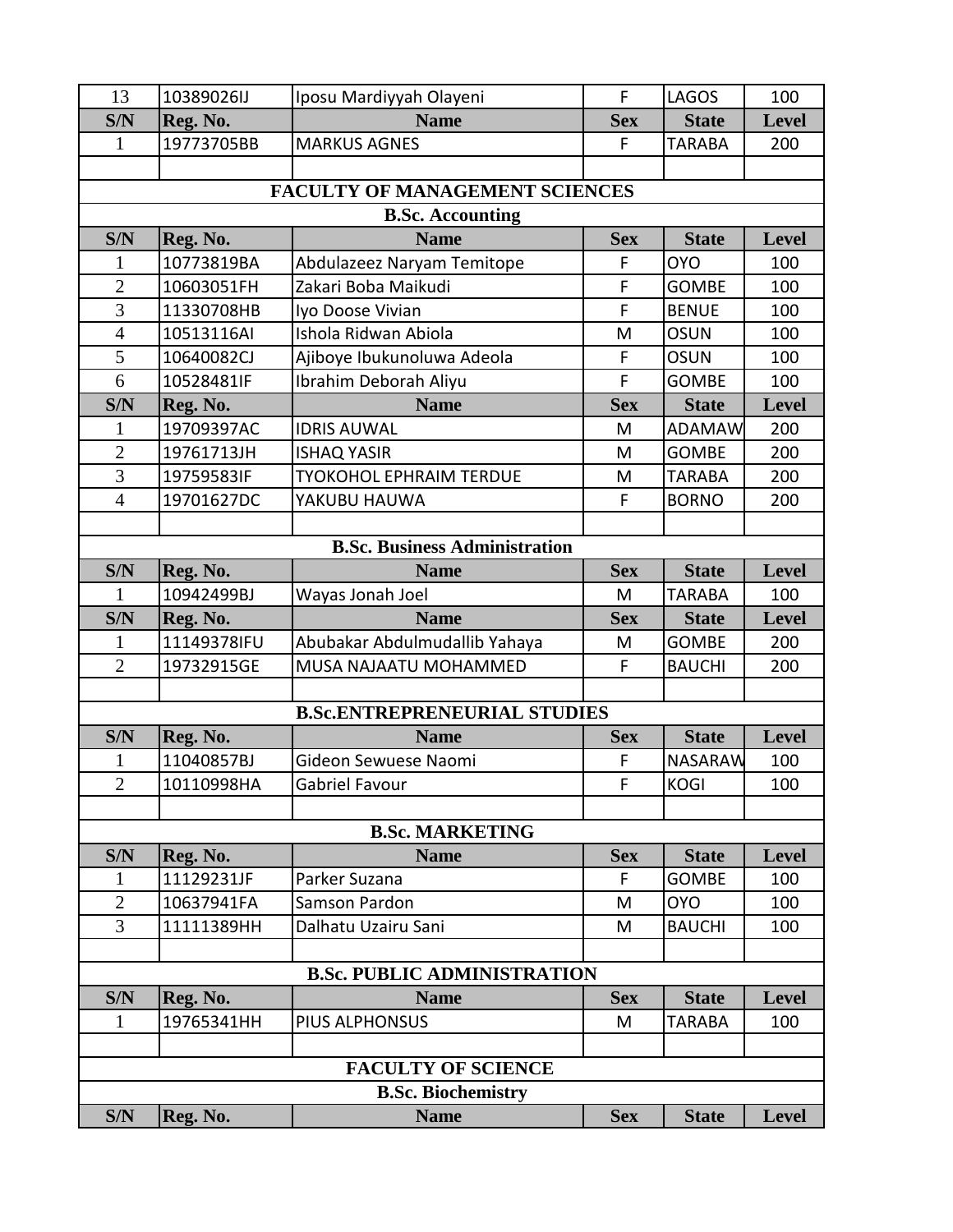| 13                                    | 10389026IJ  | Iposu Mardiyyah Olayeni              | F          | <b>LAGOS</b>   | 100          |  |  |
|---------------------------------------|-------------|--------------------------------------|------------|----------------|--------------|--|--|
| S/N                                   | Reg. No.    | <b>Name</b>                          | <b>Sex</b> | <b>State</b>   | <b>Level</b> |  |  |
| 1                                     | 19773705BB  | <b>MARKUS AGNES</b>                  | F          | <b>TARABA</b>  | 200          |  |  |
|                                       |             |                                      |            |                |              |  |  |
| <b>FACULTY OF MANAGEMENT SCIENCES</b> |             |                                      |            |                |              |  |  |
|                                       |             | <b>B.Sc. Accounting</b>              |            |                |              |  |  |
| S/N                                   | Reg. No.    | <b>Name</b>                          | <b>Sex</b> | <b>State</b>   | <b>Level</b> |  |  |
| 1                                     | 10773819BA  | Abdulazeez Naryam Temitope           | F          | <b>OYO</b>     | 100          |  |  |
| $\overline{2}$                        | 10603051FH  | Zakari Boba Maikudi                  | F          | <b>GOMBE</b>   | 100          |  |  |
| 3                                     | 11330708HB  | Iyo Doose Vivian                     | F          | <b>BENUE</b>   | 100          |  |  |
| $\overline{4}$                        | 10513116AI  | Ishola Ridwan Abiola                 | M          | <b>OSUN</b>    | 100          |  |  |
| 5                                     | 10640082CJ  | Ajiboye Ibukunoluwa Adeola           | F          | <b>OSUN</b>    | 100          |  |  |
| 6                                     | 10528481IF  | Ibrahim Deborah Aliyu                | F          | <b>GOMBE</b>   | 100          |  |  |
| S/N                                   | Reg. No.    | <b>Name</b>                          | <b>Sex</b> | <b>State</b>   | <b>Level</b> |  |  |
| 1                                     | 19709397AC  | <b>IDRIS AUWAL</b>                   | M          | <b>ADAMAW</b>  | 200          |  |  |
| $\overline{2}$                        | 19761713JH  | <b>ISHAQ YASIR</b>                   | M          | <b>GOMBE</b>   | 200          |  |  |
| 3                                     | 19759583IF  | <b>TYOKOHOL EPHRAIM TERDUE</b>       | M          | <b>TARABA</b>  | 200          |  |  |
| $\overline{4}$                        | 19701627DC  | YAKUBU HAUWA                         | F          | <b>BORNO</b>   | 200          |  |  |
|                                       |             |                                      |            |                |              |  |  |
|                                       |             | <b>B.Sc. Business Administration</b> |            |                |              |  |  |
| S/N                                   | Reg. No.    | <b>Name</b>                          | <b>Sex</b> | <b>State</b>   | <b>Level</b> |  |  |
| 1                                     | 10942499BJ  | Wayas Jonah Joel                     | M          | <b>TARABA</b>  | 100          |  |  |
| S/N                                   | Reg. No.    | <b>Name</b>                          | <b>Sex</b> | <b>State</b>   | <b>Level</b> |  |  |
| 1                                     | 11149378IFU | Abubakar Abdulmudallib Yahaya        | M          | <b>GOMBE</b>   | 200          |  |  |
| $\mathfrak{2}$                        | 19732915GE  | MUSA NAJAATU MOHAMMED                | F          | <b>BAUCHI</b>  | 200          |  |  |
|                                       |             |                                      |            |                |              |  |  |
|                                       |             | <b>B.Sc.ENTREPRENEURIAL STUDIES</b>  |            |                |              |  |  |
| S/N                                   | Reg. No.    | <b>Name</b>                          | <b>Sex</b> | <b>State</b>   | <b>Level</b> |  |  |
| $\mathbf{1}$                          | 11040857BJ  | Gideon Sewuese Naomi                 | F          | <b>NASARAW</b> | 100          |  |  |
| $\overline{2}$                        | 10110998HA  | <b>Gabriel Favour</b>                | F          | <b>KOGI</b>    | 100          |  |  |
|                                       |             |                                      |            |                |              |  |  |
|                                       |             | <b>B.Sc. MARKETING</b>               |            |                |              |  |  |
| S/N                                   | Reg. No.    | <b>Name</b>                          | <b>Sex</b> | <b>State</b>   | <b>Level</b> |  |  |
|                                       | 11129231JF  | Parker Suzana                        | F          | <b>GOMBE</b>   | 100          |  |  |
| $\overline{2}$                        | 10637941FA  | Samson Pardon                        | M          | <b>OYO</b>     | 100          |  |  |
| 3                                     | 11111389HH  | Dalhatu Uzairu Sani                  | M          | <b>BAUCHI</b>  | 100          |  |  |
|                                       |             |                                      |            |                |              |  |  |
|                                       |             | <b>B.Sc. PUBLIC ADMINISTRATION</b>   |            |                |              |  |  |
| S/N                                   | Reg. No.    | <b>Name</b>                          | <b>Sex</b> | <b>State</b>   | <b>Level</b> |  |  |
| 1                                     | 19765341HH  | PIUS ALPHONSUS                       | M          | <b>TARABA</b>  | 100          |  |  |
|                                       |             |                                      |            |                |              |  |  |
|                                       |             | <b>FACULTY OF SCIENCE</b>            |            |                |              |  |  |
|                                       |             | <b>B.Sc. Biochemistry</b>            |            |                |              |  |  |
| S/N                                   | Reg. No.    | <b>Name</b>                          | <b>Sex</b> | <b>State</b>   | <b>Level</b> |  |  |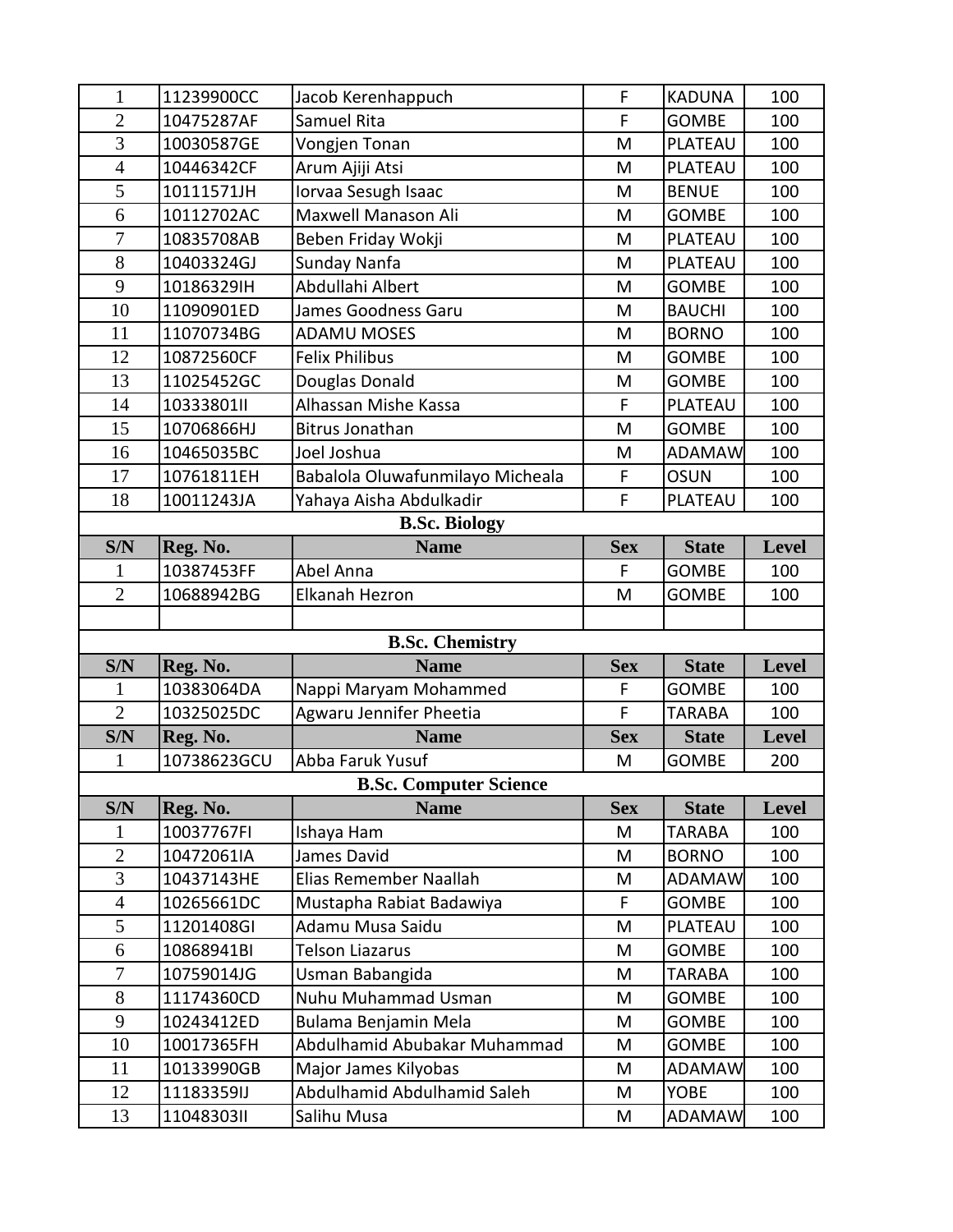| 1                | 11239900CC               | Jacob Kerenhappuch                         | F          | <b>KADUNA</b>                | 100          |  |  |  |
|------------------|--------------------------|--------------------------------------------|------------|------------------------------|--------------|--|--|--|
| $\overline{2}$   | 10475287AF               | Samuel Rita                                | F          | <b>GOMBE</b>                 | 100          |  |  |  |
| $\overline{3}$   | 10030587GE               | Vongjen Tonan                              | M          | PLATEAU                      | 100          |  |  |  |
| $\overline{4}$   | 10446342CF               | Arum Ajiji Atsi                            | M          | PLATEAU                      | 100          |  |  |  |
| 5                | 10111571JH               | Iorvaa Sesugh Isaac                        | M          | <b>BENUE</b>                 | 100          |  |  |  |
| 6                | 10112702AC               | Maxwell Manason Ali                        | M          | <b>GOMBE</b>                 | 100          |  |  |  |
| $\overline{7}$   | 10835708AB               | Beben Friday Wokji                         | M          | PLATEAU                      | 100          |  |  |  |
| 8                | 10403324GJ               | Sunday Nanfa                               | M          | PLATEAU                      | 100          |  |  |  |
| 9                | 10186329IH               | Abdullahi Albert                           | M          | <b>GOMBE</b>                 | 100          |  |  |  |
| 10               | 11090901ED               | James Goodness Garu                        | M          | <b>BAUCHI</b>                | 100          |  |  |  |
| 11               | 11070734BG               | <b>ADAMU MOSES</b>                         | M          | <b>BORNO</b>                 | 100          |  |  |  |
| 12               | 10872560CF               | <b>Felix Philibus</b>                      | M          | <b>GOMBE</b>                 | 100          |  |  |  |
| 13               | 11025452GC               | Douglas Donald                             | M          | <b>GOMBE</b>                 | 100          |  |  |  |
| 14               | 10333801II               | Alhassan Mishe Kassa                       | F          | PLATEAU                      | 100          |  |  |  |
| 15               | 10706866HJ               | <b>Bitrus Jonathan</b>                     | M          | <b>GOMBE</b>                 | 100          |  |  |  |
| 16               | 10465035BC               | Joel Joshua                                | M          | <b>ADAMAW</b>                | 100          |  |  |  |
| 17               | 10761811EH               | Babalola Oluwafunmilayo Micheala           | F          | <b>OSUN</b>                  | 100          |  |  |  |
| 18               | 10011243JA               | Yahaya Aisha Abdulkadir                    | F          | PLATEAU                      | 100          |  |  |  |
|                  | <b>B.Sc. Biology</b>     |                                            |            |                              |              |  |  |  |
| S/N              | Reg. No.                 | <b>Name</b>                                | <b>Sex</b> | <b>State</b>                 | Level        |  |  |  |
| 1                | 10387453FF               | Abel Anna                                  | F          | <b>GOMBE</b>                 | 100          |  |  |  |
| $\overline{2}$   | 10688942BG               | <b>Elkanah Hezron</b>                      | M          | <b>GOMBE</b>                 | 100          |  |  |  |
|                  |                          |                                            |            |                              |              |  |  |  |
|                  |                          |                                            |            |                              |              |  |  |  |
|                  |                          | <b>B.Sc. Chemistry</b>                     |            |                              |              |  |  |  |
| S/N              | Reg. No.                 | <b>Name</b>                                | <b>Sex</b> | <b>State</b>                 | Level        |  |  |  |
| 1                | 10383064DA               | Nappi Maryam Mohammed                      | F          | <b>GOMBE</b>                 | 100          |  |  |  |
| $\overline{2}$   | 10325025DC               | Agwaru Jennifer Pheetia                    | F          | <b>TARABA</b>                | 100          |  |  |  |
| S/N              | Reg. No.                 | <b>Name</b>                                | <b>Sex</b> | <b>State</b>                 | <b>Level</b> |  |  |  |
| 1                | 10738623GCU              | Abba Faruk Yusuf                           | M          | <b>GOMBE</b>                 | 200          |  |  |  |
|                  |                          | <b>B.Sc. Computer Science</b>              |            |                              |              |  |  |  |
| S/N              | Reg. No.                 | <b>Name</b>                                | <b>Sex</b> | <b>State</b>                 | <b>Level</b> |  |  |  |
| 1                | 10037767FI               | Ishaya Ham                                 | M          | <b>TARABA</b>                | 100          |  |  |  |
| $\overline{2}$   | 10472061IA               | James David                                | M          | <b>BORNO</b>                 | 100          |  |  |  |
| $\overline{3}$   | 10437143HE               | Elias Remember Naallah                     | M          | <b>ADAMAW</b>                | 100          |  |  |  |
| $\overline{4}$   | 10265661DC               | Mustapha Rabiat Badawiya                   | F.         | <b>GOMBE</b>                 | 100          |  |  |  |
| 5                | 11201408GI               | Adamu Musa Saidu                           | M          | PLATEAU                      | 100          |  |  |  |
| 6                | 10868941BI               | <b>Telson Liazarus</b>                     | M          | <b>GOMBE</b>                 | 100          |  |  |  |
| $\boldsymbol{7}$ | 10759014JG               | Usman Babangida                            | M          | TARABA                       | 100          |  |  |  |
| 8                | 11174360CD               | Nuhu Muhammad Usman                        | M          | <b>GOMBE</b>                 | 100          |  |  |  |
| 9                | 10243412ED               | Bulama Benjamin Mela                       | M          | <b>GOMBE</b>                 | 100          |  |  |  |
| 10               | 10017365FH               | Abdulhamid Abubakar Muhammad               | M          | <b>GOMBE</b>                 | 100          |  |  |  |
| 11               | 10133990GB               | Major James Kilyobas                       | M          | <b>ADAMAW</b>                | 100          |  |  |  |
| 12<br>13         | 11183359IJ<br>1104830311 | Abdulhamid Abdulhamid Saleh<br>Salihu Musa | M<br>M     | <b>YOBE</b><br><b>ADAMAW</b> | 100<br>100   |  |  |  |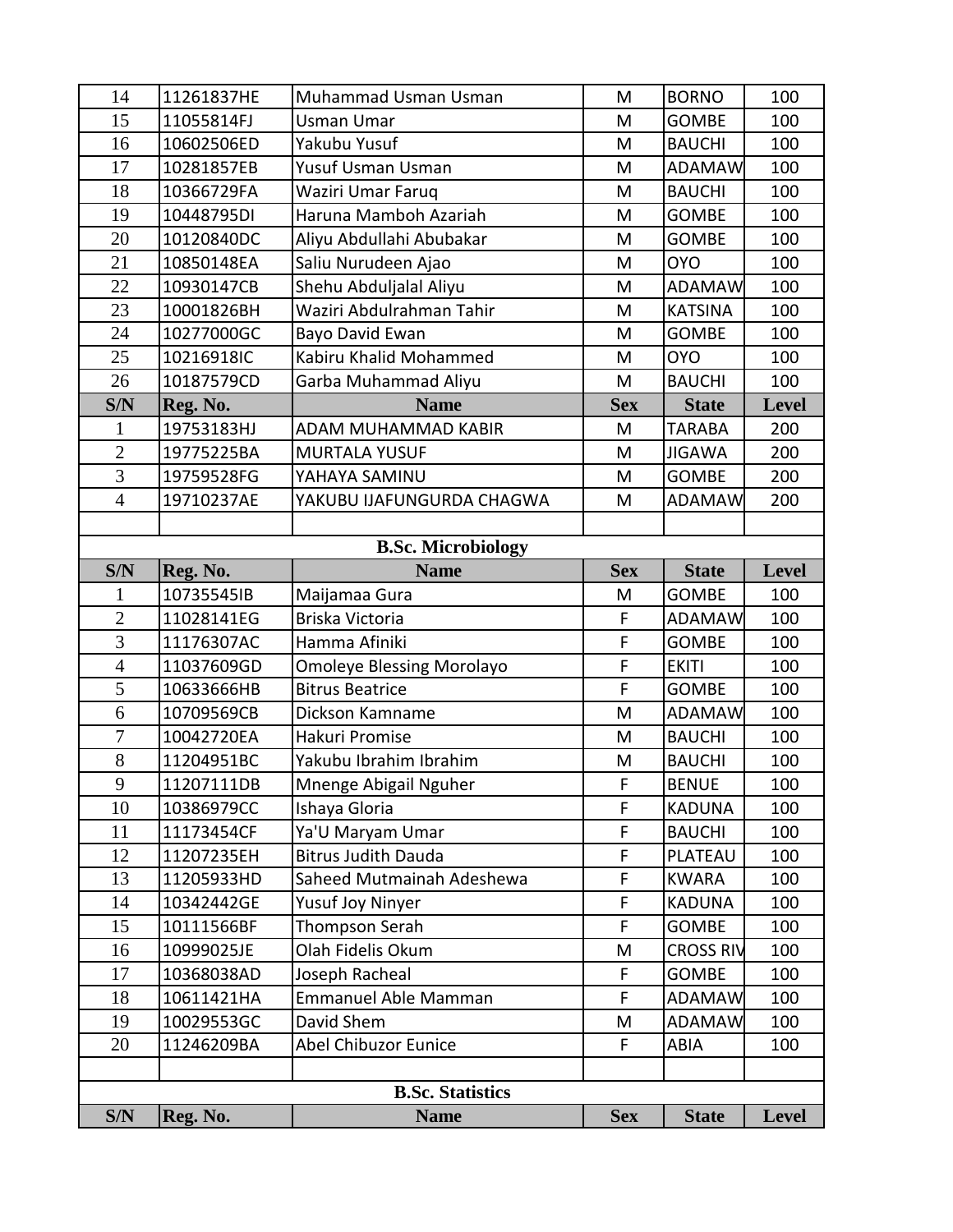| 14             | 11261837HE | Muhammad Usman Usman             | M          | <b>BORNO</b>     | 100          |
|----------------|------------|----------------------------------|------------|------------------|--------------|
| 15             | 11055814FJ | Usman Umar                       | M          | <b>GOMBE</b>     | 100          |
| 16             | 10602506ED | Yakubu Yusuf                     | M          | <b>BAUCHI</b>    | 100          |
| 17             | 10281857EB | Yusuf Usman Usman                | M          | <b>ADAMAW</b>    | 100          |
| 18             | 10366729FA | Waziri Umar Faruq                | M          | <b>BAUCHI</b>    | 100          |
| 19             | 10448795DI | Haruna Mamboh Azariah            | M          | <b>GOMBE</b>     | 100          |
| 20             | 10120840DC | Aliyu Abdullahi Abubakar         | M          | <b>GOMBE</b>     | 100          |
| 21             | 10850148EA | Saliu Nurudeen Ajao              | M          | <b>OYO</b>       | 100          |
| 22             | 10930147CB | Shehu Abduljalal Aliyu           | M          | <b>ADAMAW</b>    | 100          |
| 23             | 10001826BH | Waziri Abdulrahman Tahir         | M          | <b>KATSINA</b>   | 100          |
| 24             | 10277000GC | Bayo David Ewan                  | M          | <b>GOMBE</b>     | 100          |
| 25             | 10216918IC | Kabiru Khalid Mohammed           | M          | <b>OYO</b>       | 100          |
| 26             | 10187579CD | Garba Muhammad Aliyu             | M          | <b>BAUCHI</b>    | 100          |
| S/N            | Reg. No.   | <b>Name</b>                      | <b>Sex</b> | <b>State</b>     | Level        |
| 1              | 19753183HJ | ADAM MUHAMMAD KABIR              | M          | <b>TARABA</b>    | 200          |
| $\overline{2}$ | 19775225BA | <b>MURTALA YUSUF</b>             | M          | <b>JIGAWA</b>    | 200          |
| $\overline{3}$ | 19759528FG | YAHAYA SAMINU                    | M          | <b>GOMBE</b>     | 200          |
| $\overline{4}$ | 19710237AE | YAKUBU IJAFUNGURDA CHAGWA        | M          | <b>ADAMAW</b>    | 200          |
|                |            |                                  |            |                  |              |
|                |            | <b>B.Sc. Microbiology</b>        |            |                  |              |
| S/N            | Reg. No.   | <b>Name</b>                      | <b>Sex</b> | <b>State</b>     | <b>Level</b> |
| 1              | 10735545IB | Maijamaa Gura                    | M          | <b>GOMBE</b>     | 100          |
| $\overline{2}$ | 11028141EG | Briska Victoria                  | F          | <b>ADAMAW</b>    | 100          |
| 3              | 11176307AC | Hamma Afiniki                    | F          | <b>GOMBE</b>     | 100          |
| $\overline{4}$ | 11037609GD | <b>Omoleye Blessing Morolayo</b> | F          | <b>EKITI</b>     | 100          |
| 5              | 10633666HB | <b>Bitrus Beatrice</b>           | F          | <b>GOMBE</b>     | 100          |
| 6              | 10709569CB | Dickson Kamname                  | M          | <b>ADAMAW</b>    | 100          |
| $\overline{7}$ | 10042720EA | Hakuri Promise                   | M          | <b>BAUCHI</b>    | 100          |
| 8              | 11204951BC | Yakubu Ibrahim Ibrahim           | M          | <b>BAUCHI</b>    | 100          |
| 9              | 11207111DB | Mnenge Abigail Nguher            | F          | <b>BENUE</b>     | 100          |
| 10             | 10386979CC | Ishaya Gloria                    | F          | <b>KADUNA</b>    | 100          |
| 11             | 11173454CF | Ya'U Maryam Umar                 | F          | <b>BAUCHI</b>    | 100          |
| 12             | 11207235EH | <b>Bitrus Judith Dauda</b>       | F          | PLATEAU          | 100          |
| 13             | 11205933HD | Saheed Mutmainah Adeshewa        | F          | <b>KWARA</b>     | 100          |
| 14             | 10342442GE | <b>Yusuf Joy Ninyer</b>          | F          | <b>KADUNA</b>    | 100          |
| 15             | 10111566BF | Thompson Serah                   | F          | <b>GOMBE</b>     | 100          |
| 16             | 10999025JE | Olah Fidelis Okum                | M          | <b>CROSS RIV</b> | 100          |
| 17             | 10368038AD | Joseph Racheal                   | F          | <b>GOMBE</b>     | 100          |
| 18             | 10611421HA | Emmanuel Able Mamman             | F          | <b>ADAMAW</b>    | 100          |
| 19             | 10029553GC | David Shem                       | M          | <b>ADAMAW</b>    | 100          |
| 20             | 11246209BA | <b>Abel Chibuzor Eunice</b>      | F          | ABIA             | 100          |
|                |            |                                  |            |                  |              |
|                |            | <b>B.Sc. Statistics</b>          |            |                  |              |
| S/N            | Reg. No.   | <b>Name</b>                      | <b>Sex</b> | <b>State</b>     | Level        |